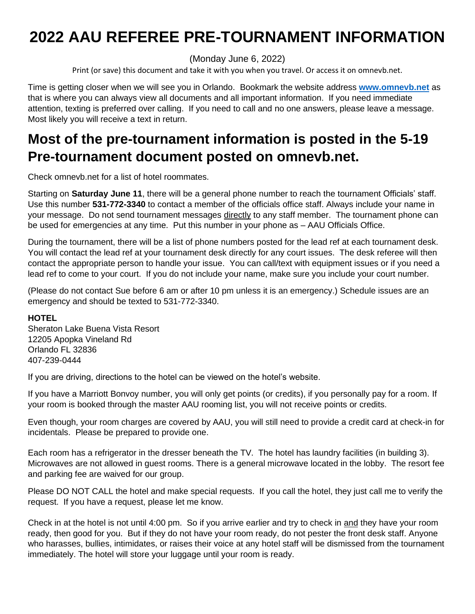# **2022 AAU REFEREE PRE-TOURNAMENT INFORMATION**

(Monday June 6, 2022)

Print (or save) this document and take it with you when you travel. Or access it on omnevb.net.

Time is getting closer when we will see you in Orlando. Bookmark the website address **[www.omnevb.net](http://www.omnevb.net/)** as that is where you can always view all documents and all important information. If you need immediate attention, texting is preferred over calling. If you need to call and no one answers, please leave a message. Most likely you will receive a text in return.

## **Most of the pre-tournament information is posted in the 5-19 Pre-tournament document posted on omnevb.net.**

Check omnevb.net for a list of hotel roommates.

Starting on **Saturday June 11**, there will be a general phone number to reach the tournament Officials' staff. Use this number **531-772-3340** to contact a member of the officials office staff. Always include your name in your message. Do not send tournament messages directly to any staff member. The tournament phone can be used for emergencies at any time. Put this number in your phone as – AAU Officials Office.

During the tournament, there will be a list of phone numbers posted for the lead ref at each tournament desk. You will contact the lead ref at your tournament desk directly for any court issues. The desk referee will then contact the appropriate person to handle your issue. You can call/text with equipment issues or if you need a lead ref to come to your court. If you do not include your name, make sure you include your court number.

(Please do not contact Sue before 6 am or after 10 pm unless it is an emergency.) Schedule issues are an emergency and should be texted to 531-772-3340.

#### **HOTEL**

Sheraton Lake Buena Vista Resort 12205 Apopka Vineland Rd Orlando FL 32836 407-239-0444

If you are driving, directions to the hotel can be viewed on the hotel's website.

If you have a Marriott Bonvoy number, you will only get points (or credits), if you personally pay for a room. If your room is booked through the master AAU rooming list, you will not receive points or credits.

Even though, your room charges are covered by AAU, you will still need to provide a credit card at check-in for incidentals. Please be prepared to provide one.

Each room has a refrigerator in the dresser beneath the TV. The hotel has laundry facilities (in building 3). Microwaves are not allowed in guest rooms. There is a general microwave located in the lobby. The resort fee and parking fee are waived for our group.

Please DO NOT CALL the hotel and make special requests. If you call the hotel, they just call me to verify the request. If you have a request, please let me know.

Check in at the hotel is not until 4:00 pm. So if you arrive earlier and try to check in and they have your room ready, then good for you. But if they do not have your room ready, do not pester the front desk staff. Anyone who harasses, bullies, intimidates, or raises their voice at any hotel staff will be dismissed from the tournament immediately. The hotel will store your luggage until your room is ready.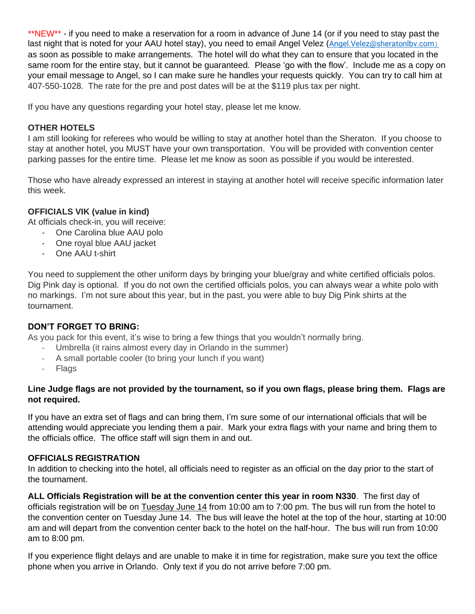\*\*NEW\*\* - if you need to make a reservation for a room in advance of June 14 (or if you need to stay past the last night that is noted for your AAU hotel stay), you need to email Angel Velez ([Angel.Velez@sheratonlbv.com](mailto:Angel.Velez@sheratonlbv.com)as)[\)](mailto:Angel.Velez@sheratonlbv.com)as) as soon as possible to make arrangements. The hotel will do what they can to ensure that you located in the same room for the entire stay, but it cannot be guaranteed. Please 'go with the flow'. Include me as a copy on your email message to Angel, so I can make sure he handles your requests quickly. You can try to call him at 407-550-1028. The rate for the pre and post dates will be at the \$119 plus tax per night.

If you have any questions regarding your hotel stay, please let me know.

#### **OTHER HOTELS**

I am still looking for referees who would be willing to stay at another hotel than the Sheraton. If you choose to stay at another hotel, you MUST have your own transportation. You will be provided with convention center parking passes for the entire time. Please let me know as soon as possible if you would be interested.

Those who have already expressed an interest in staying at another hotel will receive specific information later this week.

#### **OFFICIALS VIK (value in kind)**

At officials check-in, you will receive:

- One Carolina blue AAU polo
- One royal blue AAU jacket
- One AAU t-shirt

You need to supplement the other uniform days by bringing your blue/gray and white certified officials polos. Dig Pink day is optional. If you do not own the certified officials polos, you can always wear a white polo with no markings. I'm not sure about this year, but in the past, you were able to buy Dig Pink shirts at the tournament.

#### **DON'T FORGET TO BRING:**

As you pack for this event, it's wise to bring a few things that you wouldn't normally bring.

- Umbrella (it rains almost every day in Orlando in the summer)
- A small portable cooler (to bring your lunch if you want)
- **Flags**

#### **Line Judge flags are not provided by the tournament, so if you own flags, please bring them. Flags are not required.**

If you have an extra set of flags and can bring them, I'm sure some of our international officials that will be attending would appreciate you lending them a pair. Mark your extra flags with your name and bring them to the officials office. The office staff will sign them in and out.

#### **OFFICIALS REGISTRATION**

In addition to checking into the hotel, all officials need to register as an official on the day prior to the start of the tournament.

**ALL Officials Registration will be at the convention center this year in room N330**. The first day of officials registration will be on Tuesday June 14 from 10:00 am to 7:00 pm. The bus will run from the hotel to the convention center on Tuesday June 14. The bus will leave the hotel at the top of the hour, starting at 10:00 am and will depart from the convention center back to the hotel on the half-hour. The bus will run from 10:00 am to 8:00 pm.

If you experience flight delays and are unable to make it in time for registration, make sure you text the office phone when you arrive in Orlando. Only text if you do not arrive before 7:00 pm.